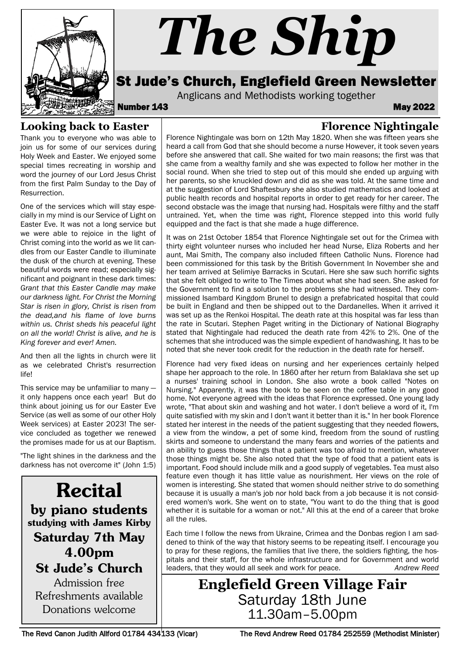

# *The Ship*

## St Jude's Church, Englefield Green Newsletter

Anglicans and Methodists working together<br>**May 2022** May

**Florence Nightingale**

#### **Looking back to Easter**

Thank you to everyone who was able to join us for some of our services during Holy Week and Easter. We enjoyed some special times recreating in worship and word the journey of our Lord Jesus Christ from the first Palm Sunday to the Day of Resurrection.

One of the services which will stay especially in my mind is our Service of Light on Easter Eve. It was not a long service but we were able to rejoice in the light of Christ coming into the world as we lit candles from our Easter Candle to illuminate the dusk of the church at evening. These beautiful words were read; especially significant and poignant in these dark times: *Grant that this Easter Candle may make our darkness light. For Christ the Morning Star is risen in glory, Christ is risen from the dead,and his flame of love burns within us. Christ sheds his peaceful light on all the world! Christ is alive, and he is King forever and ever! Amen.*

And then all the lights in church were lit as we celebrated Christ's resurrection life!

This service may be unfamiliar to many it only happens once each year! But do think about joining us for our Easter Eve Service (as well as some of our other Holy Week services) at Easter 2023! The service concluded as together we renewed the promises made for us at our Baptism.

"The light shines in the darkness and the darkness has not overcome it" (John 1:5)

Recital by piano students studying with James Kirby Saturday 7th May 4.00pm St Jude's Church Admission free Refreshments available Donations welcome

Florence Nightingale was born on 12th May 1820. When she was fifteen years she heard a call from God that she should become a nurse However, it took seven years before she answered that call. She waited for two main reasons; the first was that she came from a wealthy family and she was expected to follow her mother in the social round. When she tried to step out of this mould she ended up arguing with her parents, so she knuckled down and did as she was told. At the same time and at the suggestion of Lord Shaftesbury she also studied mathematics and looked at public health records and hospital reports in order to get ready for her career. The second obstacle was the image that nursing had. Hospitals were filthy and the staff untrained. Yet, when the time was right, Florence stepped into this world fully equipped and the fact is that she made a huge difference.

It was on 21st October 1854 that Florence Nightingale set out for the Crimea with thirty eight volunteer nurses who included her head Nurse, Eliza Roberts and her aunt, Mai Smith, The company also included fifteen Catholic Nuns. Florence had been commissioned for this task by the British Government In November she and her team arrived at Selimiye Barracks in Scutari. Here she saw such horrific sights that she felt obliged to write to The Times about what she had seen. She asked for the Government to find a solution to the problems she had witnessed. They commissioned Isambard Kingdom Brunel to design a prefabricated hospital that could be built in England and then be shipped out to the Dardanelles. When it arrived it was set up as the Renkoi Hospital. The death rate at this hospital was far less than the rate in Scutari. Stephen Paget writing in the Dictionary of National Biography stated that Nightingale had reduced the death rate from 42% to 2%. One of the schemes that she introduced was the simple expedient of handwashing. It has to be noted that she never took credit for the reduction in the death rate for herself.

Florence had very fixed ideas on nursing and her experiences certainly helped shape her approach to the role. In 1860 after her return from Balaklava she set up a nurses' training school in London. She also wrote a book called "Notes on Nursing." Apparently, it was the book to be seen on the coffee table in any good home. Not everyone agreed with the ideas that Florence expressed. One young lady wrote, "That about skin and washing and hot water. I don't believe a word of it, I'm quite satisfied with my skin and I don't want it better than it is." In her book Florence stated her interest in the needs of the patient suggesting that they needed flowers, a view from the window, a pet of some kind, freedom from the sound of rustling skirts and someone to understand the many fears and worries of the patients and an ability to guess those things that a patient was too afraid to mention, whatever those things might be. She also noted that the type of food that a patient eats is important. Food should include milk and a good supply of vegetables. Tea must also feature even though it has little value as nourishment. Her views on the role of women is interesting. She stated that women should neither strive to do something because it is usually a man's job nor hold back from a job because it is not considered women's work. She went on to state, "You want to do the thing that is good whether it is suitable for a woman or not." All this at the end of a career that broke all the rules.

Each time I follow the news from Ukraine, Crimea and the Donbas region I am saddened to think of the way that history seems to be repeating itself. I encourage you to pray for these regions, the families that live there, the soldiers fighting, the hospitals and their staff, for the whole infrastructure and for Government and world leaders, that they would all seek and work for peace. *Andrew Reed*

**Englefield Green Village Fair** Saturday 18th June 11.30am–5.00pm